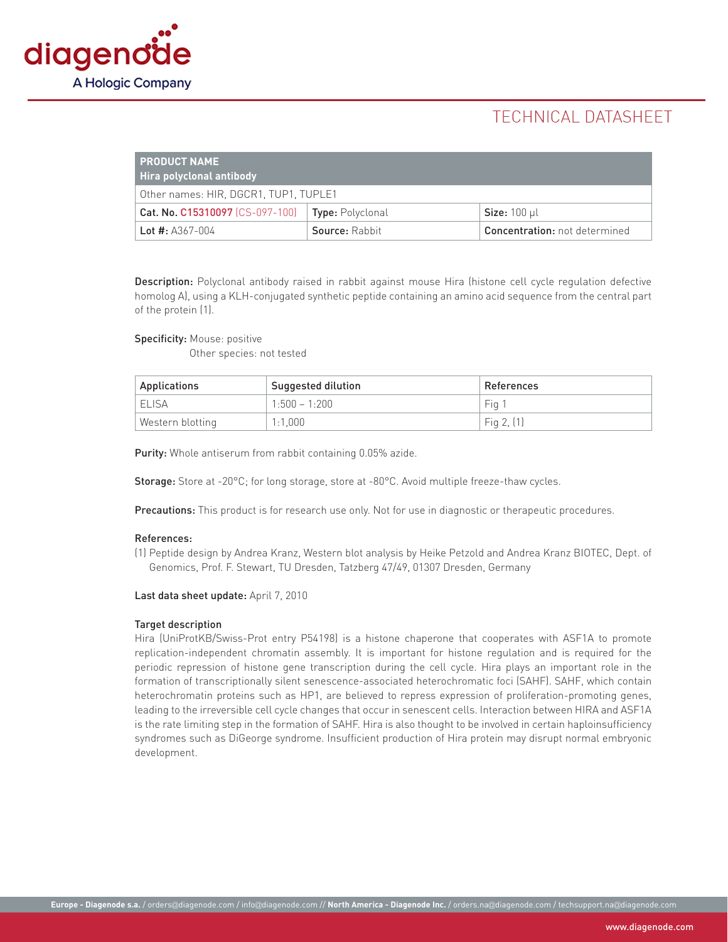

# **TECHNICAL DATASHEET**

| <b>PRODUCT NAME</b><br>  Hira polyclonal antibody ' |                         |                                      |  |
|-----------------------------------------------------|-------------------------|--------------------------------------|--|
| Other names: HIR, DGCR1, TUP1, TUPLE1               |                         |                                      |  |
| Cat. No. C15310097 (CS-097-100)                     | <b>Type:</b> Polyclonal | Size: $100 \mu l$                    |  |
| Lot #: $A367-004$                                   | Source: Rabbit          | <b>Concentration:</b> not determined |  |

Description: Polyclonal antibody raised in rabbit against mouse Hira (histone cell cycle regulation defective homolog A), using a KLH-conjugated synthetic peptide containing an amino acid sequence from the central part of the protein (1).

Specificity: Mouse: positive

Other species: not tested

| Applications &   | Suggested dilution | References   |
|------------------|--------------------|--------------|
| I ELISA          | $1:500 - 1:200$    | -Fia 1       |
| Western blotting | 1:1.000            | Fig $2, (1)$ |

Purity: Whole antiserum from rabbit containing 0.05% azide.

Storage: Store at -20°C; for long storage, store at -80°C. Avoid multiple freeze-thaw cycles.

Precautions: This product is for research use only. Not for use in diagnostic or therapeutic procedures.

#### References:

(1) Peptide design by Andrea Kranz, Western blot analysis by Heike Petzold and Andrea Kranz BIOTEC, Dept. of Genomics, Prof. F. Stewart, TU Dresden, Tatzberg 47/49, 01307 Dresden, Germany

Last data sheet update: April 7, 2010

#### Target description

Hira (UniProtKB/Swiss-Prot entry P54198) is a histone chaperone that cooperates with ASF1A to promote replication-independent chromatin assembly. It is important for histone regulation and is required for the periodic repression of histone gene transcription during the cell cycle. Hira plays an important role in the formation of transcriptionally silent senescence-associated heterochromatic foci (SAHF). SAHF, which contain heterochromatin proteins such as HP1, are believed to repress expression of proliferation-promoting genes, leading to the irreversible cell cycle changes that occur in senescent cells. Interaction between HIRA and ASF1A is the rate limiting step in the formation of SAHF. Hira is also thought to be involved in certain haploinsufficiency syndromes such as DiGeorge syndrome. Insufficient production of Hira protein may disrupt normal embryonic development.